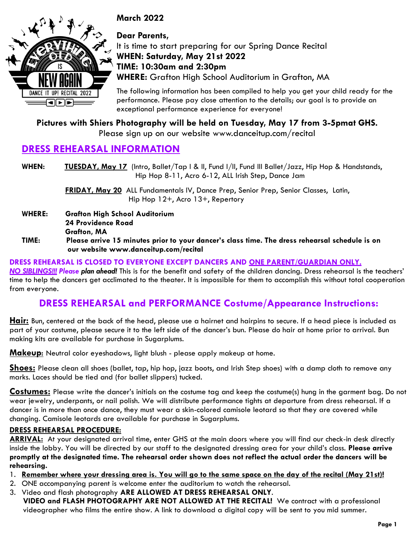



### **Dear Parents,**

It is time to start preparing for our Spring Dance Recital **WHEN: Saturday, May 21st 2022 TIME: 10:30am and 2:30pm WHERE:** Grafton High School Auditorium in Grafton, MA

The following information has been compiled to help you get your child ready for the performance. Please pay close attention to the details; our goal is to provide an exceptional performance experience for everyone!

## **Pictures with Shiers Photography will be held on Tuesday, May 17 from 3-5pmat GHS.**

Please sign up on our website www.danceitup.com/recital

## **DRESS REHEARSAL INFORMATION**

WHEN: TUESDAY, May 17 (Intro, Ballet/Tap I & II, Fund I/II, Fund III Ballet/Jazz, Hip Hop & Handstands, Hip Hop 8-11, Acro 6-12, ALL Irish Step, Dance Jam

> **FRIDAY, May 20** ALL Fundamentals IV, Dance Prep, Senior Prep, Senior Classes, Latin, Hip Hop 12+, Acro 13+, Repertory

**WHERE: Grafton High School Auditorium 24 Providence Road Grafton, MA TIME: Please arrive 15 minutes prior to your dancer's class time. The dress rehearsal schedule is on our website www.danceitup.com/recital**

**DRESS REHEARSAL IS CLOSED TO EVERYONE EXCEPT DANCERS AND ONE PARENT/GUARDIAN ONLY.** 

*NO SIBLINGS!!! Please plan ahead!* This is for the benefit and safety of the children dancing. Dress rehearsal is the teachers' time to help the dancers get acclimated to the theater. It is impossible for them to accomplish this without total cooperation from everyone.

# **DRESS REHEARSAL and PERFORMANCE Costume/Appearance Instructions:**

**Hair:** Bun, centered at the back of the head, please use a hairnet and hairpins to secure. If a head piece is included as part of your costume, please secure it to the left side of the dancer's bun. Please do hair at home prior to arrival. Bun making kits are available for purchase in Sugarplums.

**Makeup**: Neutral color eyeshadows, light blush - please apply makeup at home.

**Shoes:** Please clean all shoes (ballet, tap, hip hop, jazz boots, and Irish Step shoes) with a damp cloth to remove any marks. Laces should be tied and (for ballet slippers) tucked.

**Costumes:** Please write the dancer's initials on the costume tag and keep the costume(s) hung in the garment bag. Do not wear jewelry, underpants, or nail polish. We will distribute performance tights at departure from dress rehearsal. If a dancer is in more than once dance, they must wear a skin-colored camisole leotard so that they are covered while changing. Camisole leotards are available for purchase in Sugarplums.

### **DRESS REHEARSAL PROCEDURE:**

**ARRIVAL:** At your designated arrival time, enter GHS at the main doors where you will find our check-in desk directly inside the lobby. You will be directed by our staff to the designated dressing area for your child's class. **Please arrive promptly at the designated time. The rehearsal order shown does not reflect the actual order the dancers will be rehearsing.**

1. **Remember where your dressing area is. You will go to the same space on the day of the recital (May 21st)!**

- 2. ONE accompanying parent is welcome enter the auditorium to watch the rehearsal.
- 3. Video and flash photography **ARE ALLOWED AT DRESS REHEARSAL ONLY**. **VIDEO and FLASH PHOTOGRAPHY ARE NOT ALLOWED AT THE RECITAL!** We contract with a professional videographer who films the entire show. A link to download a digital copy will be sent to you mid summer.